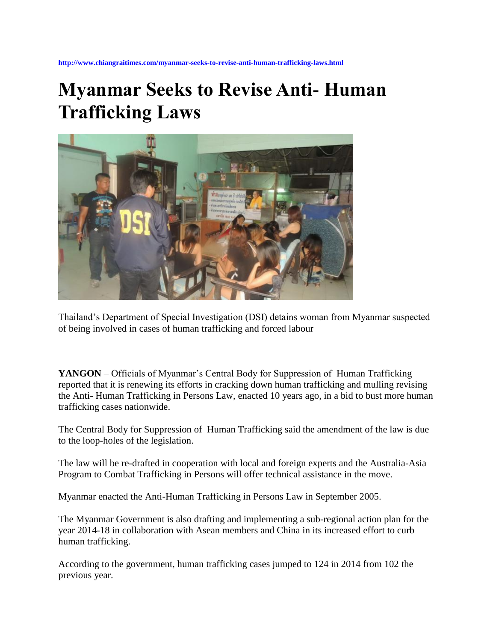## **Myanmar Seeks to Revise Anti- Human Trafficking Laws**



Thailand's Department of Special Investigation (DSI) detains woman from Myanmar suspected of being involved in cases of human trafficking and forced labour

**YANGON** – Officials of Myanmar's Central Body for Suppression of Human Trafficking reported that it is renewing its efforts in cracking down human trafficking and mulling revising the Anti- Human Trafficking in Persons Law, enacted 10 years ago, in a bid to bust more human trafficking cases nationwide.

The Central Body for Suppression of Human Trafficking said the amendment of the law is due to the loop-holes of the legislation.

The law will be re-drafted in cooperation with local and foreign experts and the Australia-Asia Program to Combat Trafficking in Persons will offer technical assistance in the move.

Myanmar enacted the Anti-Human Trafficking in Persons Law in September 2005.

The Myanmar Government is also drafting and implementing a sub-regional action plan for the year 2014-18 in collaboration with Asean members and China in its increased effort to curb human trafficking.

According to the government, human trafficking cases jumped to 124 in 2014 from 102 the previous year.